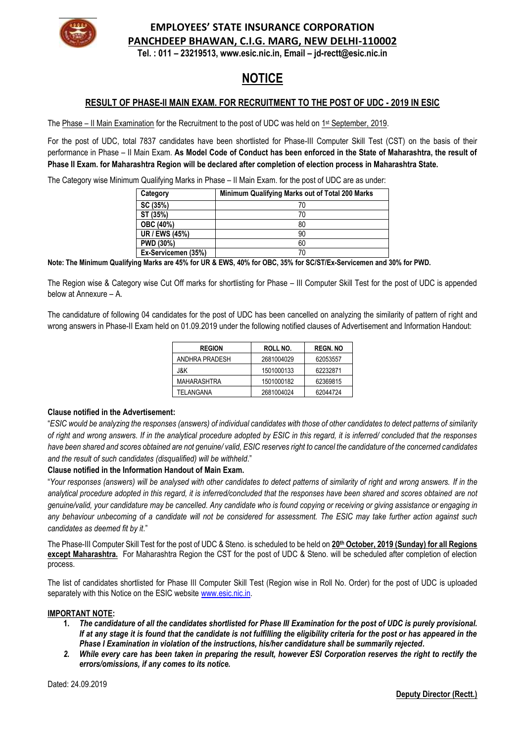

# **EMPLOYEES' STATE INSURANCE CORPORATION PANCHDEEP BHAWAN, C.I.G. MARG, NEW DELHI-110002**

**Tel. : 011 – 23219513, [www.esic.nic.in,](http://www.esic.nic.in/) Email – jd-rectt@esic.nic.in**

# **NOTICE**

## **RESULT OF PHASE-II MAIN EXAM. FOR RECRUITMENT TO THE POST OF UDC - 2019 IN ESIC**

The Phase – II Main Examination for the Recruitment to the post of UDC was held on  $1st$  September, 2019.

For the post of UDC, total 7837 candidates have been shortlisted for Phase-III Computer Skill Test (CST) on the basis of their performance in Phase – II Main Exam. **As Model Code of Conduct has been enforced in the State of Maharashtra, the result of Phase II Exam. for Maharashtra Region will be declared after completion of election process in Maharashtra State.**

The Category wise Minimum Qualifying Marks in Phase – II Main Exam. for the post of UDC are as under:

| Category            | Minimum Qualifying Marks out of Total 200 Marks |
|---------------------|-------------------------------------------------|
| SC (35%)            |                                                 |
| ST (35%)            | 70                                              |
| OBC (40%)           | 80                                              |
| UR / EWS (45%)      | 90                                              |
| <b>PWD (30%)</b>    | 60                                              |
| Ex-Servicemen (35%) | 70                                              |

**Note: The Minimum Qualifying Marks are 45% for UR & EWS, 40% for OBC, 35% for SC/ST/Ex-Servicemen and 30% for PWD.**

The Region wise & Category wise Cut Off marks for shortlisting for Phase – III Computer Skill Test for the post of UDC is appended below at Annexure – A.

The candidature of following 04 candidates for the post of UDC has been cancelled on analyzing the similarity of pattern of right and wrong answers in Phase-II Exam held on 01.09.2019 under the following notified clauses of Advertisement and Information Handout:

| <b>REGION</b>  | ROLL NO.   | <b>REGN.NO</b> |  |  |
|----------------|------------|----------------|--|--|
| ANDHRA PRADESH | 2681004029 | 62053557       |  |  |
| J&K            | 1501000133 | 62232871       |  |  |
| MAHARASHTRA    | 1501000182 | 62369815       |  |  |
| TELANGANA      | 2681004024 | 62044724       |  |  |

#### **Clause notified in the Advertisement:**

"*ESIC would be analyzing the responses (answers) of individual candidates with those of other candidates to detect patterns of similarity of right and wrong answers. If in the analytical procedure adopted by ESIC in this regard, it is inferred/ concluded that the responses have been shared and scores obtained are not genuine/ valid, ESIC reserves right to cancel the candidature of the concerned candidates and the result of such candidates (disqualified) will be withheld*."

### **Clause notified in the Information Handout of Main Exam.**

"*Your responses (answers) will be analysed with other candidates to detect patterns of similarity of right and wrong answers. If in the analytical procedure adopted in this regard, it is inferred/concluded that the responses have been shared and scores obtained are not genuine/valid, your candidature may be cancelled. Any candidate who is found copying or receiving or giving assistance or engaging in any behaviour unbecoming of a candidate will not be considered for assessment. The ESIC may take further action against such candidates as deemed fit by it*."

The Phase-III Computer Skill Test for the post of UDC & Steno. is scheduled to be held on **20th October, 2019 (Sunday) for all Regions except Maharashtra.** For Maharashtra Region the CST for the post of UDC & Steno. will be scheduled after completion of election process.

The list of candidates shortlisted for Phase III Computer Skill Test (Region wise in Roll No. Order) for the post of UDC is uploaded separately with this Notice on the ESIC website [www.esic.nic.in.](http://www.esic.nic.in/)

#### **IMPORTANT NOTE:**

- **1.** *The candidature of all the candidates shortlisted for Phase III Examination for the post of UDC is purely provisional. If at any stage it is found that the candidate is not fulfilling the eligibility criteria for the post or has appeared in the Phase I Examination in violation of the instructions, his/her candidature shall be summarily rejected.*
- *2. While every care has been taken in preparing the result, however ESI Corporation reserves the right to rectify the errors/omissions, if any comes to its notice.*